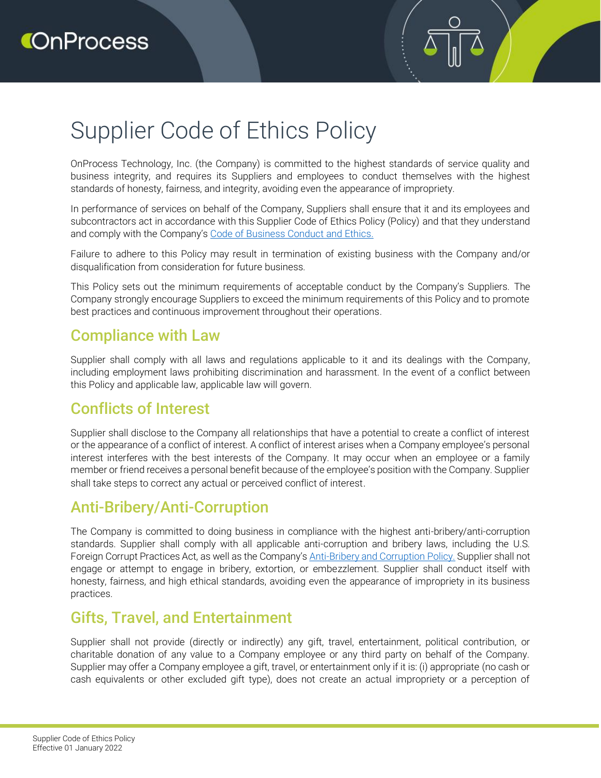# Supplier Code of Ethics Policy

OnProcess Technology, Inc. (the Company) is committed to the highest standards of service quality and business integrity, and requires its Suppliers and employees to conduct themselves with the highest standards of honesty, fairness, and integrity, avoiding even the appearance of impropriety.

In performance of services on behalf of the Company, Suppliers shall ensure that it and its employees and subcontractors act in accordance with this Supplier Code of Ethics Policy (Policy) and that they understand and comply with the Company's [Code of Business Conduct and Ethics.](https://www.onprocess.com/wp-content/uploads/2022/02/OnProcess-Code-of-Business-Conduct-Ethics.pdf)

Failure to adhere to this Policy may result in termination of existing business with the Company and/or disqualification from consideration for future business.

This Policy sets out the minimum requirements of acceptable conduct by the Company's Suppliers. The Company strongly encourage Suppliers to exceed the minimum requirements of this Policy and to promote best practices and continuous improvement throughout their operations.

#### Compliance with Law

Supplier shall comply with all laws and regulations applicable to it and its dealings with the Company, including employment laws prohibiting discrimination and harassment. In the event of a conflict between this Policy and applicable law, applicable law will govern.

#### Conflicts of Interest

Supplier shall disclose to the Company all relationships that have a potential to create a conflict of interest or the appearance of a conflict of interest. A conflict of interest arises when a Company employee's personal interest interferes with the best interests of the Company. It may occur when an employee or a family member or friend receives a personal benefit because of the employee's position with the Company. Supplier shall take steps to correct any actual or perceived conflict of interest.

#### Anti-Bribery/Anti-Corruption

The Company is committed to doing business in compliance with the highest anti-bribery/anti-corruption standards. Supplier shall comply with all applicable anti-corruption and bribery laws, including the U.S. Foreign Corrupt Practices Act, as well as the Company's [Anti-Bribery and Corruption Policy.](https://www.onprocess.com/wp-content/uploads/2022/02/OnProcess-Anti-Bribery-and-Corruption-Policy.pdf) Supplier shall not engage or attempt to engage in bribery, extortion, or embezzlement. Supplier shall conduct itself with honesty, fairness, and high ethical standards, avoiding even the appearance of impropriety in its business practices.

## Gifts, Travel, and Entertainment

Supplier shall not provide (directly or indirectly) any gift, travel, entertainment, political contribution, or charitable donation of any value to a Company employee or any third party on behalf of the Company. Supplier may offer a Company employee a gift, travel, or entertainment only if it is: (i) appropriate (no cash or cash equivalents or other excluded gift type), does not create an actual impropriety or a perception of